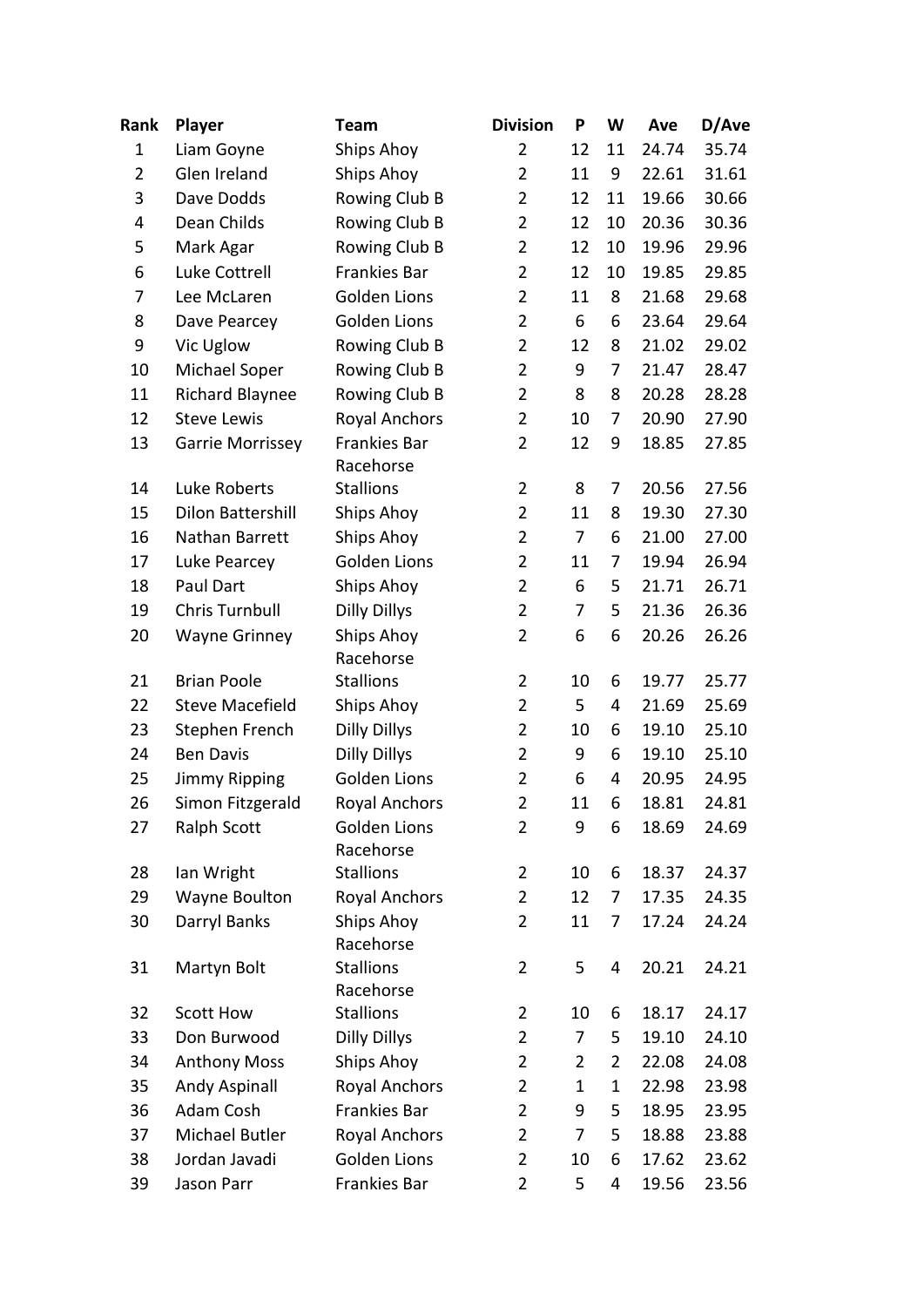| Rank           | <b>Player</b>            | <b>Team</b>                   | <b>Division</b> | P              | W              | Ave   | D/Ave |
|----------------|--------------------------|-------------------------------|-----------------|----------------|----------------|-------|-------|
| $\mathbf{1}$   | Liam Goyne               | Ships Ahoy                    | $\overline{2}$  | 12             | 11             | 24.74 | 35.74 |
| $\overline{2}$ | Glen Ireland             | Ships Ahoy                    | $\overline{2}$  | 11             | 9              | 22.61 | 31.61 |
| 3              | Dave Dodds               | Rowing Club B                 | $\overline{2}$  | 12             | 11             | 19.66 | 30.66 |
| 4              | Dean Childs              | Rowing Club B                 | 2               | 12             | 10             | 20.36 | 30.36 |
| 5              | Mark Agar                | Rowing Club B                 | $\overline{2}$  | 12             | 10             | 19.96 | 29.96 |
| 6              | Luke Cottrell            | Frankies Bar                  | $\overline{2}$  | 12             | 10             | 19.85 | 29.85 |
| 7              | Lee McLaren              | <b>Golden Lions</b>           | $\overline{2}$  | 11             | 8              | 21.68 | 29.68 |
| 8              | Dave Pearcey             | Golden Lions                  | $\overline{2}$  | 6              | 6              | 23.64 | 29.64 |
| 9              | Vic Uglow                | Rowing Club B                 | $\overline{2}$  | 12             | 8              | 21.02 | 29.02 |
| 10             | Michael Soper            | Rowing Club B                 | $\overline{2}$  | 9              | 7              | 21.47 | 28.47 |
| 11             | <b>Richard Blaynee</b>   | Rowing Club B                 | $\overline{2}$  | 8              | 8              | 20.28 | 28.28 |
| 12             | <b>Steve Lewis</b>       | <b>Royal Anchors</b>          | $\overline{2}$  | 10             | 7              | 20.90 | 27.90 |
| 13             | Garrie Morrissey         | Frankies Bar<br>Racehorse     | $\overline{2}$  | 12             | 9              | 18.85 | 27.85 |
| 14             | Luke Roberts             | <b>Stallions</b>              | $\overline{2}$  | 8              | 7              | 20.56 | 27.56 |
| 15             | <b>Dilon Battershill</b> | Ships Ahoy                    | $\overline{2}$  | 11             | 8              | 19.30 | 27.30 |
| 16             | Nathan Barrett           | Ships Ahoy                    | $\overline{2}$  | $\overline{7}$ | 6              | 21.00 | 27.00 |
| 17             | Luke Pearcey             | Golden Lions                  | $\overline{2}$  | 11             | 7              | 19.94 | 26.94 |
| 18             | Paul Dart                | Ships Ahoy                    | $\overline{2}$  | 6              | 5              | 21.71 | 26.71 |
| 19             | <b>Chris Turnbull</b>    | <b>Dilly Dillys</b>           | $\overline{2}$  | 7              | 5              | 21.36 | 26.36 |
| 20             | <b>Wayne Grinney</b>     | Ships Ahoy<br>Racehorse       | $\overline{2}$  | 6              | 6              | 20.26 | 26.26 |
| 21             | <b>Brian Poole</b>       | <b>Stallions</b>              | $\overline{2}$  | 10             | 6              | 19.77 | 25.77 |
| 22             | <b>Steve Macefield</b>   | Ships Ahoy                    | $\overline{2}$  | 5              | 4              | 21.69 | 25.69 |
| 23             | Stephen French           | <b>Dilly Dillys</b>           | $\overline{2}$  | 10             | 6              | 19.10 | 25.10 |
| 24             | <b>Ben Davis</b>         | <b>Dilly Dillys</b>           | $\overline{2}$  | 9              | 6              | 19.10 | 25.10 |
| 25             | <b>Jimmy Ripping</b>     | <b>Golden Lions</b>           | $\overline{2}$  | 6              | 4              | 20.95 | 24.95 |
| 26             | Simon Fitzgerald         | <b>Royal Anchors</b>          | $\overline{2}$  | 11             | 6              | 18.81 | 24.81 |
| 27             | Ralph Scott              | Golden Lions<br>Racehorse     | $\overline{2}$  | 9              | 6              | 18.69 | 24.69 |
| 28             | lan Wright               | <b>Stallions</b>              | $\overline{2}$  | 10             | 6              | 18.37 | 24.37 |
| 29             | <b>Wayne Boulton</b>     | <b>Royal Anchors</b>          | $\overline{2}$  | 12             | 7              | 17.35 | 24.35 |
| 30             | Darryl Banks             | Ships Ahoy<br>Racehorse       | 2               | 11             | 7              | 17.24 | 24.24 |
| 31             | Martyn Bolt              | <b>Stallions</b><br>Racehorse | $\overline{2}$  | 5              | 4              | 20.21 | 24.21 |
| 32             | <b>Scott How</b>         | <b>Stallions</b>              | $\overline{2}$  | 10             | 6              | 18.17 | 24.17 |
| 33             | Don Burwood              | <b>Dilly Dillys</b>           | $\overline{2}$  | 7              | 5              | 19.10 | 24.10 |
| 34             | <b>Anthony Moss</b>      | Ships Ahoy                    | 2               | $\overline{2}$ | $\overline{2}$ | 22.08 | 24.08 |
| 35             | <b>Andy Aspinall</b>     | <b>Royal Anchors</b>          | $\overline{2}$  | 1              | 1              | 22.98 | 23.98 |
| 36             | Adam Cosh                | Frankies Bar                  | $\overline{2}$  | 9              | 5              | 18.95 | 23.95 |
| 37             | Michael Butler           | <b>Royal Anchors</b>          | 2               | 7              | 5              | 18.88 | 23.88 |
| 38             | Jordan Javadi            | <b>Golden Lions</b>           | 2               | 10             | 6              | 17.62 | 23.62 |
| 39             | Jason Parr               | Frankies Bar                  | $\overline{2}$  | 5              | 4              | 19.56 | 23.56 |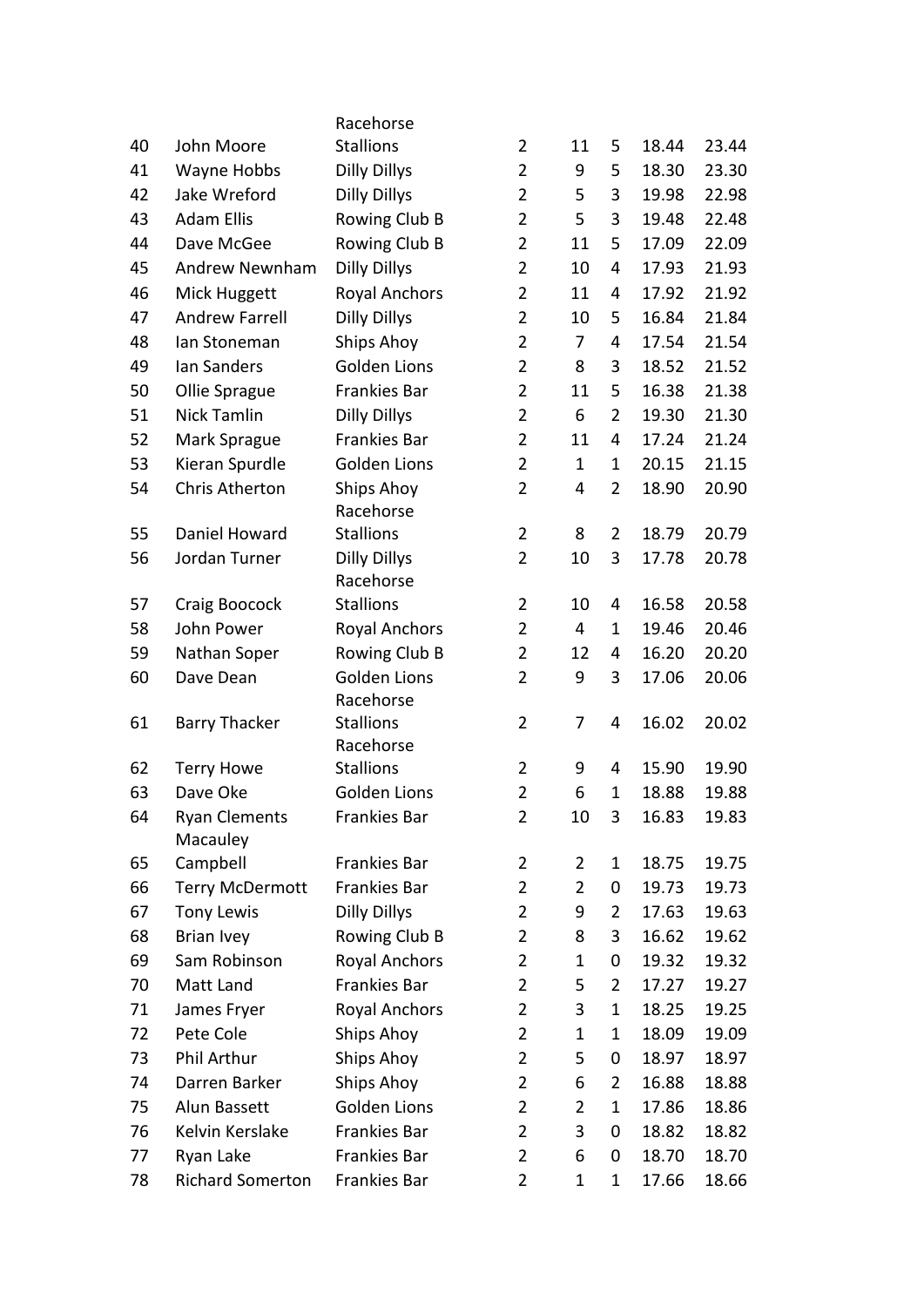|    |                         | Racehorse                     |                |                |                |       |       |
|----|-------------------------|-------------------------------|----------------|----------------|----------------|-------|-------|
| 40 | John Moore              | <b>Stallions</b>              | $\overline{2}$ | 11             | 5              | 18.44 | 23.44 |
| 41 | Wayne Hobbs             | <b>Dilly Dillys</b>           | $\overline{2}$ | 9              | 5              | 18.30 | 23.30 |
| 42 | Jake Wreford            | <b>Dilly Dillys</b>           | $\overline{2}$ | 5              | 3              | 19.98 | 22.98 |
| 43 | <b>Adam Ellis</b>       | Rowing Club B                 | $\overline{2}$ | 5              | 3              | 19.48 | 22.48 |
| 44 | Dave McGee              | Rowing Club B                 | $\overline{2}$ | 11             | 5              | 17.09 | 22.09 |
| 45 | <b>Andrew Newnham</b>   | <b>Dilly Dillys</b>           | $\overline{2}$ | 10             | 4              | 17.93 | 21.93 |
| 46 | Mick Huggett            | <b>Royal Anchors</b>          | $\overline{2}$ | 11             | 4              | 17.92 | 21.92 |
| 47 | <b>Andrew Farrell</b>   | <b>Dilly Dillys</b>           | $\overline{2}$ | 10             | 5              | 16.84 | 21.84 |
| 48 | lan Stoneman            | <b>Ships Ahoy</b>             | $\overline{2}$ | 7              | 4              | 17.54 | 21.54 |
| 49 | lan Sanders             | <b>Golden Lions</b>           | $\overline{2}$ | 8              | 3              | 18.52 | 21.52 |
| 50 | Ollie Sprague           | Frankies Bar                  | $\overline{2}$ | 11             | 5              | 16.38 | 21.38 |
| 51 | <b>Nick Tamlin</b>      | <b>Dilly Dillys</b>           | $\overline{2}$ | 6              | $\overline{2}$ | 19.30 | 21.30 |
| 52 | Mark Sprague            | Frankies Bar                  | $\overline{2}$ | 11             | 4              | 17.24 | 21.24 |
| 53 | Kieran Spurdle          | <b>Golden Lions</b>           | $\overline{2}$ | 1              | $\mathbf 1$    | 20.15 | 21.15 |
| 54 | <b>Chris Atherton</b>   | Ships Ahoy                    | $\overline{2}$ | 4              | $\overline{2}$ | 18.90 | 20.90 |
|    |                         | Racehorse                     |                |                |                |       |       |
| 55 | Daniel Howard           | <b>Stallions</b>              | $\overline{2}$ | 8              | $\overline{2}$ | 18.79 | 20.79 |
| 56 | Jordan Turner           | <b>Dilly Dillys</b>           | $\overline{2}$ | 10             | 3              | 17.78 | 20.78 |
|    |                         | Racehorse                     |                |                |                |       |       |
| 57 | Craig Boocock           | <b>Stallions</b>              | $\overline{2}$ | 10             | 4              | 16.58 | 20.58 |
| 58 | John Power              | <b>Royal Anchors</b>          | $\overline{2}$ | 4              | 1              | 19.46 | 20.46 |
| 59 | Nathan Soper            | Rowing Club B                 | $\overline{2}$ | 12             | 4              | 16.20 | 20.20 |
| 60 | Dave Dean               | Golden Lions                  | $\overline{2}$ | 9              | 3              | 17.06 | 20.06 |
|    |                         | Racehorse                     |                |                |                |       |       |
| 61 | <b>Barry Thacker</b>    | <b>Stallions</b>              | $\overline{2}$ | 7              | 4              | 16.02 | 20.02 |
| 62 | <b>Terry Howe</b>       | Racehorse<br><b>Stallions</b> | $\overline{2}$ | 9              | 4              | 15.90 | 19.90 |
| 63 | Dave Oke                | <b>Golden Lions</b>           | $\overline{2}$ | 6              | $\mathbf{1}$   | 18.88 | 19.88 |
| 64 | <b>Ryan Clements</b>    | Frankies Bar                  | 2              | 10             | 3              | 16.83 | 19.83 |
|    | Macauley                |                               |                |                |                |       |       |
| 65 | Campbell                | Frankies Bar                  | $\overline{2}$ | $\overline{2}$ | $\mathbf 1$    | 18.75 | 19.75 |
| 66 | <b>Terry McDermott</b>  | Frankies Bar                  | $\overline{2}$ | $\overline{2}$ | 0              | 19.73 | 19.73 |
| 67 | Tony Lewis              | <b>Dilly Dillys</b>           | $\overline{2}$ | 9              | $\overline{2}$ | 17.63 | 19.63 |
| 68 | <b>Brian Ivey</b>       | Rowing Club B                 | $\overline{2}$ | 8              | 3              | 16.62 | 19.62 |
| 69 | Sam Robinson            | <b>Royal Anchors</b>          | $\overline{2}$ | $\mathbf 1$    | 0              | 19.32 | 19.32 |
| 70 | Matt Land               | Frankies Bar                  | $\overline{2}$ | 5              | $\overline{2}$ | 17.27 | 19.27 |
| 71 | James Fryer             | <b>Royal Anchors</b>          | $\overline{2}$ | 3              | 1              | 18.25 | 19.25 |
| 72 | Pete Cole               | Ships Ahoy                    | $\overline{2}$ | 1              | 1              | 18.09 | 19.09 |
| 73 | Phil Arthur             | Ships Ahoy                    | $\overline{2}$ | 5              | 0              | 18.97 | 18.97 |
| 74 | Darren Barker           | Ships Ahoy                    | $\overline{2}$ | 6              | $\overline{2}$ | 16.88 | 18.88 |
| 75 | Alun Bassett            | <b>Golden Lions</b>           | $\overline{2}$ | $\overline{2}$ | 1              | 17.86 | 18.86 |
| 76 | Kelvin Kerslake         | Frankies Bar                  | $\overline{2}$ | 3              | 0              | 18.82 | 18.82 |
| 77 | Ryan Lake               | Frankies Bar                  | $\overline{2}$ | 6              | 0              | 18.70 | 18.70 |
| 78 | <b>Richard Somerton</b> | Frankies Bar                  | $\overline{2}$ | 1              | $\mathbf 1$    | 17.66 | 18.66 |
|    |                         |                               |                |                |                |       |       |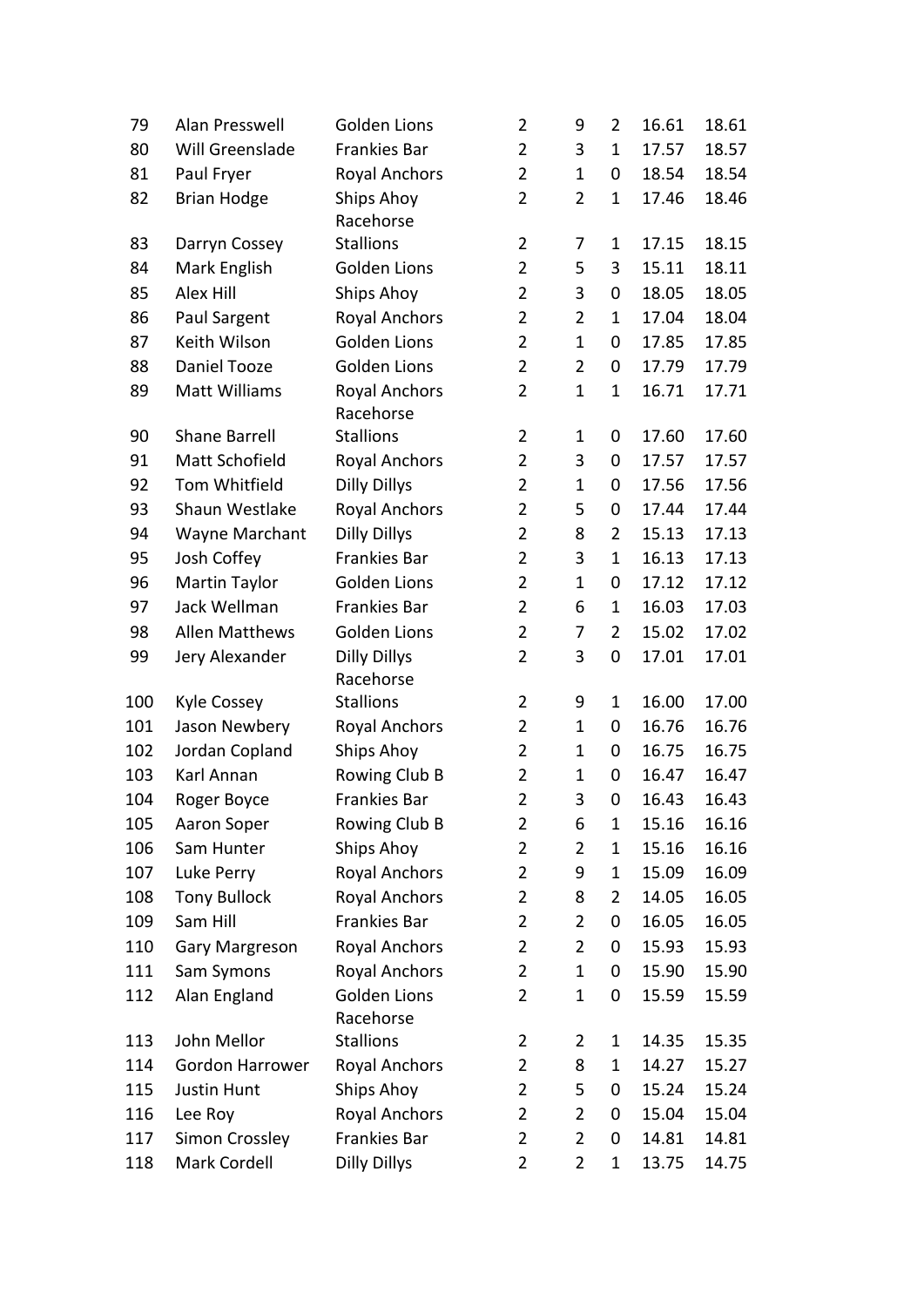| 79  | Alan Presswell         | <b>Golden Lions</b>               | $\overline{2}$ | 9              | $\overline{2}$ | 16.61 | 18.61 |
|-----|------------------------|-----------------------------------|----------------|----------------|----------------|-------|-------|
| 80  | Will Greenslade        | Frankies Bar                      | $\overline{2}$ | 3              | $\mathbf 1$    | 17.57 | 18.57 |
| 81  | Paul Fryer             | <b>Royal Anchors</b>              | $\overline{2}$ | $\mathbf{1}$   | 0              | 18.54 | 18.54 |
| 82  | <b>Brian Hodge</b>     | Ships Ahoy<br>Racehorse           | $\overline{2}$ | $\overline{2}$ | $\mathbf{1}$   | 17.46 | 18.46 |
| 83  | Darryn Cossey          | <b>Stallions</b>                  | $\overline{2}$ | 7              | 1              | 17.15 | 18.15 |
| 84  | Mark English           | <b>Golden Lions</b>               | $\overline{2}$ | 5              | 3              | 15.11 | 18.11 |
| 85  | Alex Hill              | Ships Ahoy                        | $\overline{2}$ | 3              | 0              | 18.05 | 18.05 |
| 86  | Paul Sargent           | <b>Royal Anchors</b>              | $\overline{2}$ | $\overline{2}$ | 1              | 17.04 | 18.04 |
| 87  | Keith Wilson           | <b>Golden Lions</b>               | $\overline{2}$ | $\mathbf{1}$   | 0              | 17.85 | 17.85 |
| 88  | Daniel Tooze           | <b>Golden Lions</b>               | $\overline{2}$ | $\overline{2}$ | 0              | 17.79 | 17.79 |
| 89  | Matt Williams          | <b>Royal Anchors</b><br>Racehorse | $\overline{2}$ | $\mathbf{1}$   | $\mathbf{1}$   | 16.71 | 17.71 |
| 90  | <b>Shane Barrell</b>   | <b>Stallions</b>                  | $\overline{2}$ | 1              | 0              | 17.60 | 17.60 |
| 91  | Matt Schofield         | <b>Royal Anchors</b>              | $\overline{2}$ | 3              | 0              | 17.57 | 17.57 |
| 92  | Tom Whitfield          | <b>Dilly Dillys</b>               | $\overline{2}$ | 1              | 0              | 17.56 | 17.56 |
| 93  | Shaun Westlake         | <b>Royal Anchors</b>              | $\overline{2}$ | 5              | 0              | 17.44 | 17.44 |
| 94  | Wayne Marchant         | <b>Dilly Dillys</b>               | $\overline{2}$ | 8              | $\overline{2}$ | 15.13 | 17.13 |
| 95  | Josh Coffey            | Frankies Bar                      | $\overline{2}$ | 3              | 1              | 16.13 | 17.13 |
| 96  | Martin Taylor          | <b>Golden Lions</b>               | $\overline{2}$ | $\mathbf{1}$   | 0              | 17.12 | 17.12 |
| 97  | Jack Wellman           | Frankies Bar                      | $\overline{2}$ | 6              | 1              | 16.03 | 17.03 |
| 98  | <b>Allen Matthews</b>  | Golden Lions                      | $\overline{2}$ | 7              | $\overline{2}$ | 15.02 | 17.02 |
| 99  | Jery Alexander         | <b>Dilly Dillys</b><br>Racehorse  | $\overline{2}$ | 3              | 0              | 17.01 | 17.01 |
| 100 | Kyle Cossey            | <b>Stallions</b>                  | $\overline{2}$ | 9              | $\mathbf{1}$   | 16.00 | 17.00 |
| 101 | Jason Newbery          | <b>Royal Anchors</b>              | $\overline{2}$ | $\mathbf{1}$   | 0              | 16.76 | 16.76 |
| 102 | Jordan Copland         | Ships Ahoy                        | $\overline{2}$ | 1              | 0              | 16.75 | 16.75 |
| 103 | Karl Annan             | Rowing Club B                     | $\overline{2}$ | 1              | 0              | 16.47 | 16.47 |
| 104 | Roger Boyce            | Frankies Bar                      | $\overline{2}$ | 3              | 0              | 16.43 | 16.43 |
| 105 | Aaron Soper            | Rowing Club B                     | 2              | 6              | $\mathbf 1$    | 15.16 | 16.16 |
| 106 | Sam Hunter             | Ships Ahoy                        | $\overline{2}$ | $\overline{2}$ | 1              | 15.16 | 16.16 |
| 107 | Luke Perry             | <b>Royal Anchors</b>              | $\overline{2}$ | 9              | 1              | 15.09 | 16.09 |
| 108 | <b>Tony Bullock</b>    | <b>Royal Anchors</b>              | $\overline{2}$ | 8              | $\overline{2}$ | 14.05 | 16.05 |
| 109 | Sam Hill               | Frankies Bar                      | $\overline{2}$ | $\overline{2}$ | 0              | 16.05 | 16.05 |
| 110 | Gary Margreson         | <b>Royal Anchors</b>              | $\overline{2}$ | 2              | 0              | 15.93 | 15.93 |
| 111 | Sam Symons             | <b>Royal Anchors</b>              | $\overline{2}$ | $\mathbf 1$    | 0              | 15.90 | 15.90 |
| 112 | Alan England           | Golden Lions<br>Racehorse         | $\overline{2}$ | 1              | 0              | 15.59 | 15.59 |
| 113 | John Mellor            | <b>Stallions</b>                  | $\overline{2}$ | 2              | 1              | 14.35 | 15.35 |
| 114 | <b>Gordon Harrower</b> | <b>Royal Anchors</b>              | 2              | 8              | 1              | 14.27 | 15.27 |
| 115 | <b>Justin Hunt</b>     | Ships Ahoy                        | $\overline{2}$ | 5              | 0              | 15.24 | 15.24 |
| 116 | Lee Roy                | <b>Royal Anchors</b>              | $\overline{2}$ | 2              | 0              | 15.04 | 15.04 |
| 117 | Simon Crossley         | Frankies Bar                      | 2              | $\overline{2}$ | 0              | 14.81 | 14.81 |
| 118 | Mark Cordell           | <b>Dilly Dillys</b>               | $\overline{2}$ | 2              | $\mathbf{1}$   | 13.75 | 14.75 |